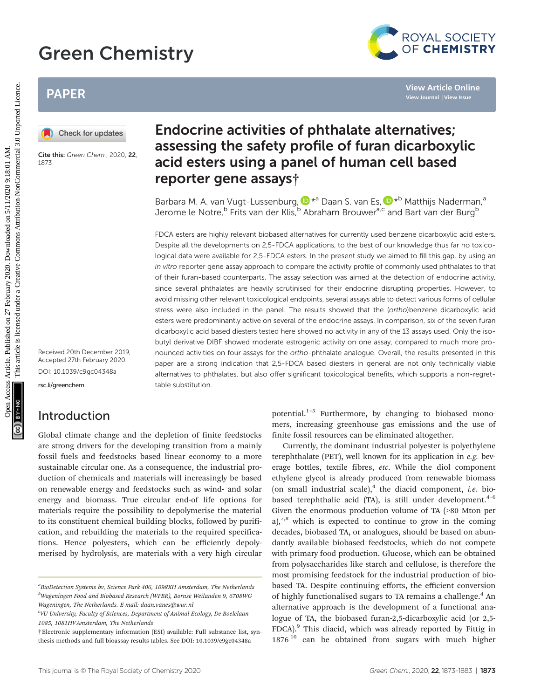# Green Chemistry



## PAPER

Cite this: Green Chem., 2020, 22, 1873

Received 20th December 2019, Accepted 27th February 2020 DOI: 10.1039/c9gc04348a

[rsc.li/greenchem](www.rsc.li/greenchem)

## Introduction

Global climate change and the depletion of finite feedstocks are strong drivers for the developing transition from a mainly fossil fuels and feedstocks based linear economy to a more sustainable circular one. As a consequence, the industrial production of chemicals and materials will increasingly be based on renewable energy and feedstocks such as wind- and solar energy and biomass. True circular end-of life options for materials require the possibility to depolymerise the material to its constituent chemical building blocks, followed by purification, and rebuilding the materials to the required specifications. Hence polyesters, which can be efficiently depolymerised by hydrolysis, are materials with a very high circular

## Endocrine activities of phthalate alternatives; assessing the safety profile of furan dicarboxylic acid esters using a panel of human cell based reporter gene assays†

Barbara M. A. van Vugt-Lussenburg, D<sup>\*a</sup> Daan S. van Es, D<sup>\*b</sup> Matthijs Naderman,<sup>a</sup> Jerome le Notre,<sup>b</sup> Frits van der Klis,<sup>b</sup> Abraham Brouwer<sup>a,c</sup> and Bart van der Burg<sup>b</sup>

FDCA esters are highly relevant biobased alternatives for currently used benzene dicarboxylic acid esters. Despite all the developments on 2,5-FDCA applications, to the best of our knowledge thus far no toxicological data were available for 2,5-FDCA esters. In the present study we aimed to fill this gap, by using an in vitro reporter gene assay approach to compare the activity profile of commonly used phthalates to that of their furan-based counterparts. The assay selection was aimed at the detection of endocrine activity, since several phthalates are heavily scrutinised for their endocrine disrupting properties. However, to avoid missing other relevant toxicological endpoints, several assays able to detect various forms of cellular stress were also included in the panel. The results showed that the (ortho)benzene dicarboxylic acid esters were predominantly active on several of the endocrine assays. In comparison, six of the seven furan dicarboxylic acid based diesters tested here showed no activity in any of the 13 assays used. Only the isobutyl derivative DIBF showed moderate estrogenic activity on one assay, compared to much more pronounced activities on four assays for the ortho-phthalate analogue. Overall, the results presented in this paper are a strong indication that 2,5-FDCA based diesters in general are not only technically viable alternatives to phthalates, but also offer significant toxicological benefits, which supports a non-regrettable substitution. PAPER<br> **Endocrine activities of phthalate alternatives;**<br> **Consider the Consider Source Comparison and the same of the same of the same of the same Comparison Comparison and the same Comparison of the same Comparison of t** 

potential. $1-3$  Furthermore, by changing to biobased monomers, increasing greenhouse gas emissions and the use of finite fossil resources can be eliminated altogether.

Currently, the dominant industrial polyester is polyethylene terephthalate (PET), well known for its application in e.g. beverage bottles, textile fibres, etc. While the diol component ethylene glycol is already produced from renewable biomass (on small industrial scale),<sup>4</sup> the diacid component, *i.e.* biobased terephthalic acid (TA), is still under development. $4-6$ Given the enormous production volume of TA (>80 Mton per a),<sup>7,8</sup> which is expected to continue to grow in the coming decades, biobased TA, or analogues, should be based on abundantly available biobased feedstocks, which do not compete with primary food production. Glucose, which can be obtained from polysaccharides like starch and cellulose, is therefore the most promising feedstock for the industrial production of biobased TA. Despite continuing efforts, the efficient conversion of highly functionalised sugars to TA remains a challenge.<sup>4</sup> An alternative approach is the development of a functional analogue of TA, the biobased furan-2,5-dicarboxylic acid (or 2,5- FDCA).<sup>9</sup> This diacid, which was already reported by Fittig in  $1876$ <sup>10</sup> can be obtained from sugars with much higher

<sup>&</sup>lt;sup>a</sup>BioDetection Systems bv, Science Park 406, 1098XH Amsterdam, The Netherlands <sup>b</sup>Wageningen Food and Biobased Research (WFBR), Bornse Weilanden 9, 6708WG Wageningen, The Netherlands. E-mail: daan.vanes@wur.nl

<sup>&</sup>lt;sup>c</sup>VU University, Faculty of Sciences, Department of Animal Ecology, De Boelelaan 1085, 1081HV Amsterdam, The Netherlands

<sup>†</sup>Electronic supplementary information (ESI) available: Full substance list, synthesis methods and full bioassay results tables. See DOI: 10.1039/c9gc04348a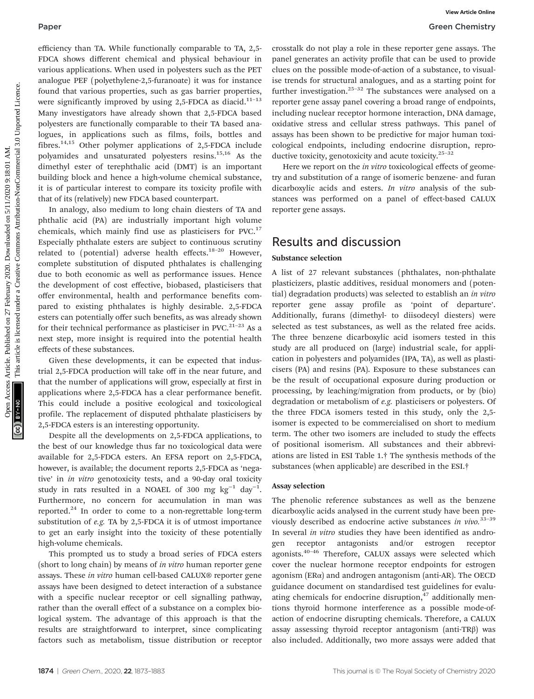efficiency than TA. While functionally comparable to TA, 2,5- FDCA shows different chemical and physical behaviour in various applications. When used in polyesters such as the PET analogue PEF (polyethylene-2,5-furanoate) it was for instance found that various properties, such as gas barrier properties, were significantly improved by using  $2,5$ -FDCA as diacid.<sup>11-13</sup> Many investigators have already shown that 2,5-FDCA based polyesters are functionally comparable to their TA based analogues, in applications such as films, foils, bottles and fibres.<sup>14,15</sup> Other polymer applications of 2,5-FDCA include polyamides and unsaturated polyesters resins.15,16 As the dimethyl ester of terephthalic acid (DMT) is an important building block and hence a high-volume chemical substance, it is of particular interest to compare its toxicity profile with that of its (relatively) new FDCA based counterpart. Paper<br> **Open Access Articles.** The controllinear distribution in published in the controllinear distribution in the controllinear controllinear and the controllinear to the controllinear and the controllinear and the cont

In analogy, also medium to long chain diesters of TA and phthalic acid (PA) are industrially important high volume chemicals, which mainly find use as plasticisers for PVC.<sup>17</sup> Especially phthalate esters are subject to continuous scrutiny related to (potential) adverse health effects. $18-20$  However, complete substitution of disputed phthalates is challenging due to both economic as well as performance issues. Hence the development of cost effective, biobased, plasticisers that offer environmental, health and performance benefits compared to existing phthalates is highly desirable. 2,5-FDCA esters can potentially offer such benefits, as was already shown for their technical performance as plasticiser in PVC.<sup>21-23</sup> As a next step, more insight is required into the potential health effects of these substances.

Given these developments, it can be expected that industrial 2,5-FDCA production will take off in the near future, and that the number of applications will grow, especially at first in applications where 2,5-FDCA has a clear performance benefit. This could include a positive ecological and toxicological profile. The replacement of disputed phthalate plasticisers by 2,5-FDCA esters is an interesting opportunity.

Despite all the developments on 2,5-FDCA applications, to the best of our knowledge thus far no toxicological data were available for 2,5-FDCA esters. An EFSA report on 2,5-FDCA, however, is available; the document reports 2,5-FDCA as 'negative' in in vitro genotoxicity tests, and a 90-day oral toxicity study in rats resulted in a NOAEL of 300 mg  $kg^{-1}$  day<sup>-1</sup>. Furthermore, no concern for accumulation in man was reported.24 In order to come to a non-regrettable long-term substitution of e.g. TA by 2,5-FDCA it is of utmost importance to get an early insight into the toxicity of these potentially high-volume chemicals.

This prompted us to study a broad series of FDCA esters (short to long chain) by means of *in vitro* human reporter gene assays. These in vitro human cell-based CALUX® reporter gene assays have been designed to detect interaction of a substance with a specific nuclear receptor or cell signalling pathway, rather than the overall effect of a substance on a complex biological system. The advantage of this approach is that the results are straightforward to interpret, since complicating factors such as metabolism, tissue distribution or receptor

crosstalk do not play a role in these reporter gene assays. The panel generates an activity profile that can be used to provide clues on the possible mode-of-action of a substance, to visualise trends for structural analogues, and as a starting point for further investigation. $25-32$  The substances were analysed on a reporter gene assay panel covering a broad range of endpoints, including nuclear receptor hormone interaction, DNA damage, oxidative stress and cellular stress pathways. This panel of assays has been shown to be predictive for major human toxicological endpoints, including endocrine disruption, reproductive toxicity, genotoxicity and acute toxicity. $25-32$ 

Here we report on the *in vitro* toxicological effects of geometry and substitution of a range of isomeric benzene- and furan dicarboxylic acids and esters. In vitro analysis of the substances was performed on a panel of effect-based CALUX reporter gene assays.

## Results and discussion

#### Substance selection

A list of 27 relevant substances (phthalates, non-phthalate plasticizers, plastic additives, residual monomers and (potential) degradation products) was selected to establish an in vitro reporter gene assay profile as 'point of departure'. Additionally, furans (dimethyl- to diisodecyl diesters) were selected as test substances, as well as the related free acids. The three benzene dicarboxylic acid isomers tested in this study are all produced on (large) industrial scale, for application in polyesters and polyamides (IPA, TA), as well as plasticisers (PA) and resins (PA). Exposure to these substances can be the result of occupational exposure during production or processing, by leaching/migration from products, or by (bio) degradation or metabolism of e.g. plasticisers or polyesters. Of the three FDCA isomers tested in this study, only the 2,5 isomer is expected to be commercialised on short to medium term. The other two isomers are included to study the effects of positional isomerism. All substances and their abbreviations are listed in ESI Table 1.† The synthesis methods of the substances (when applicable) are described in the ESI.†

#### Assay selection

The phenolic reference substances as well as the benzene dicarboxylic acids analysed in the current study have been previously described as endocrine active substances in vivo.  $33-39$ In several in vitro studies they have been identified as androgen receptor antagonists and/or estrogen receptor agonists.40–<sup>46</sup> Therefore, CALUX assays were selected which cover the nuclear hormone receptor endpoints for estrogen agonism ( $ER\alpha$ ) and androgen antagonism (anti-AR). The OECD guidance document on standardised test guidelines for evaluating chemicals for endocrine disruption, $47$  additionally mentions thyroid hormone interference as a possible mode-ofaction of endocrine disrupting chemicals. Therefore, a CALUX assay assessing thyroid receptor antagonism (anti-TRβ) was also included. Additionally, two more assays were added that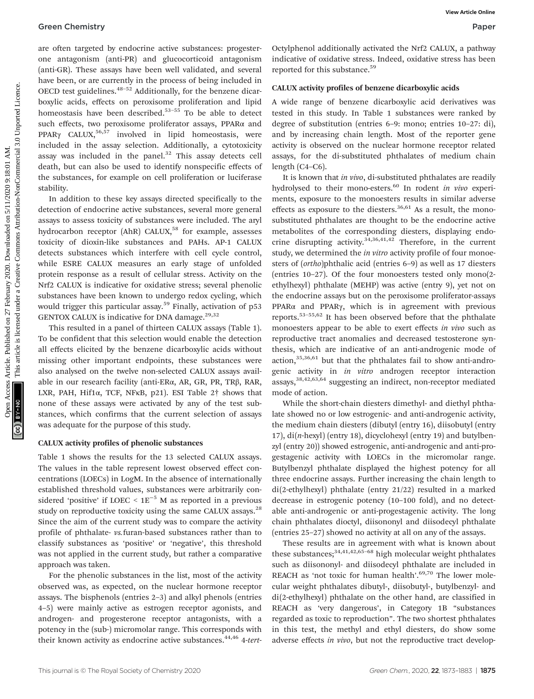are often targeted by endocrine active substances: progesterone antagonism (anti-PR) and glucocorticoid antagonism (anti-GR). These assays have been well validated, and several have been, or are currently in the process of being included in OECD test guidelines.48–<sup>52</sup> Additionally, for the benzene dicarboxylic acids, effects on peroxisome proliferation and lipid homeostasis have been described.<sup>53-55</sup> To be able to detect such effects, two peroxisome proliferator assays, PPAR $\alpha$  and PPAR $\gamma$  CALUX,<sup>56,57</sup> involved in lipid homeostasis, were included in the assay selection. Additionally, a cytotoxicity assay was included in the panel. $32$  This assay detects cell death, but can also be used to identify nonspecific effects of the substances, for example on cell proliferation or luciferase stability.

In addition to these key assays directed specifically to the detection of endocrine active substances, several more general assays to assess toxicity of substances were included. The aryl hydrocarbon receptor (AhR) CALUX,<sup>58</sup> for example, assesses toxicity of dioxin-like substances and PAHs. AP-1 CALUX detects substances which interfere with cell cycle control, while ESRE CALUX measures an early stage of unfolded protein response as a result of cellular stress. Activity on the Nrf2 CALUX is indicative for oxidative stress; several phenolic substances have been known to undergo redox cycling, which would trigger this particular assay.<sup>59</sup> Finally, activation of p53 GENTOX CALUX is indicative for DNA damage. $29,32$ 

This resulted in a panel of thirteen CALUX assays (Table 1). To be confident that this selection would enable the detection all effects elicited by the benzene dicarboxylic acids without missing other important endpoints, these substances were also analysed on the twelve non-selected CALUX assays available in our research facility (anti-ERα, AR, GR, PR, TRβ, RAR, LXR, PAH, Hif1 $\alpha$ , TCF, NFKB, p21). ESI Table 2† shows that none of these assays were activated by any of the test substances, which confirms that the current selection of assays was adequate for the purpose of this study.

### CALUX activity profiles of phenolic substances

Table 1 shows the results for the 13 selected CALUX assays. The values in the table represent lowest observed effect concentrations (LOECs) in LogM. In the absence of internationally established threshold values, substances were arbitrarily considered 'positive' if LOEC <  $1E^{-5}$  M as reported in a previous study on reproductive toxicity using the same CALUX assays.<sup>28</sup> Since the aim of the current study was to compare the activity profile of phthalate- vs.furan-based substances rather than to classify substances as 'positive' or 'negative', this threshold was not applied in the current study, but rather a comparative approach was taken.

For the phenolic substances in the list, most of the activity observed was, as expected, on the nuclear hormone receptor assays. The bisphenols (entries 2–3) and alkyl phenols (entries 4–5) were mainly active as estrogen receptor agonists, and androgen- and progesterone receptor antagonists, with a potency in the (sub-) micromolar range. This corresponds with their known activity as endocrine active substances. $44,46$  4-tert-

Octylphenol additionally activated the Nrf2 CALUX, a pathway indicative of oxidative stress. Indeed, oxidative stress has been reported for this substance.<sup>59</sup>

#### CALUX activity profiles of benzene dicarboxylic acids

A wide range of benzene dicarboxylic acid derivatives was tested in this study. In Table 1 substances were ranked by degree of substitution (entries 6–9: mono; entries 10–27: di), and by increasing chain length. Most of the reporter gene activity is observed on the nuclear hormone receptor related assays, for the di-substituted phthalates of medium chain length (C4–C6).

It is known that in vivo, di-substituted phthalates are readily hydrolysed to their mono-esters.<sup>60</sup> In rodent in vivo experiments, exposure to the monoesters results in similar adverse effects as exposure to the diesters.  $36,61$  As a result, the monosubstituted phthalates are thought to be the endocrine active metabolites of the corresponding diesters, displaying endocrine disrupting activity.<sup>34,36,41,42</sup> Therefore, in the current study, we determined the in vitro activity profile of four monoesters of (ortho)phthalic acid (entries 6–9) as well as 17 diesters (entries 10–27). Of the four monoesters tested only mono(2 ethylhexyl) phthalate (MEHP) was active (entry 9), yet not on the endocrine assays but on the peroxisome proliferator-assays PPARα and PPARγ, which is in agreement with previous reports.53–55,62 It has been observed before that the phthalate monoesters appear to be able to exert effects in vivo such as reproductive tract anomalies and decreased testosterone synthesis, which are indicative of an anti-androgenic mode of action, $35,36,61$  but that the phthalates fail to show anti-androgenic activity in in vitro androgen receptor interaction assays,38,42,63,64 suggesting an indirect, non-receptor mediated mode of action. Green Chemistry<br>
One analysisms (and Australia contribution and Australia indicates are about the state and access and set of the state are the state of the state are about the state are the state are the state and the sta

While the short-chain diesters dimethyl- and diethyl phthalate showed no or low estrogenic- and anti-androgenic activity, the medium chain diesters (dibutyl (entry 16), diisobutyl (entry 17),  $di(n$ -hexyl) (entry 18), dicyclohexyl (entry 19) and butylbenzyl (entry 20)) showed estrogenic, anti-androgenic and anti-progestagenic activity with LOECs in the micromolar range. Butylbenzyl phthalate displayed the highest potency for all three endocrine assays. Further increasing the chain length to di(2-ethylhexyl) phthalate (entry 21/22) resulted in a marked decrease in estrogenic potency (10–100 fold), and no detectable anti-androgenic or anti-progestagenic activity. The long chain phthalates dioctyl, diisononyl and diisodecyl phthalate (entries 25–27) showed no activity at all on any of the assays.

These results are in agreement with what is known about these substances;  $34,41,42,65-68$  high molecular weight phthalates such as diisononyl- and diisodecyl phthalate are included in REACH as 'not toxic for human health'.<sup>69,70</sup> The lower molecular weight phthalates dibutyl-, diisobutyl-, butylbenzyl- and di(2-ethylhexyl) phthalate on the other hand, are classified in REACH as 'very dangerous', in Category 1B "substances regarded as toxic to reproduction". The two shortest phthalates in this test, the methyl and ethyl diesters, do show some adverse effects in vivo, but not the reproductive tract develop-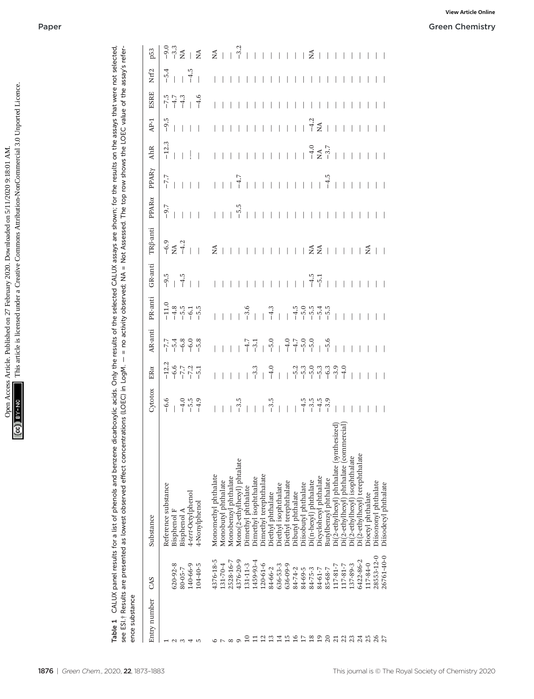| Entry number | CAS                 | Substance                                   | Cytotox                    | $ER\alpha$                           | AR-anti                    | PR-anti                             | GR-anti         | TR <sub>β</sub> -anti | PPARα          | $\text{PPAR}\gamma$ | <b>AhR</b>                   | $AP-1$              | <b>ESRE</b>                | p53<br>$_{\rm Nrf2}$           |
|--------------|---------------------|---------------------------------------------|----------------------------|--------------------------------------|----------------------------|-------------------------------------|-----------------|-----------------------|----------------|---------------------|------------------------------|---------------------|----------------------------|--------------------------------|
|              |                     | Reference substance                         | $-6.6$                     | $-12.2$                              |                            | $-11.0$                             |                 |                       | $\overline{9}$ | $-7.7$              | Ŵ<br>$-12.$                  | S<br>$\overline{9}$ |                            | $-5.4$                         |
|              | $620 - 92 - 8$      | <b>Bisphenol F</b>                          |                            |                                      | $-7.7$<br>$-5.4$<br>$-6.8$ |                                     | $\ddot{\gamma}$ | $-6.9$<br>NA          |                |                     |                              |                     | $-7.5$<br>$-4.7$<br>$-4.3$ | $-9.3$<br>$-3.3$<br><b>NA</b>  |
|              | $80 - 05 - 7$       | Bisphenol A                                 |                            |                                      |                            |                                     | $-4.5$          | $-4.2$                |                |                     |                              |                     |                            |                                |
|              | 140-66-9            | 4-tert-Octylphenol                          | $-4.5$<br>$-5.5$<br>$-4.9$ | $-6.5$<br>$-7.7$<br>$-5.1$<br>$-5.1$ | $-6.0$<br>$-5.8$           | $4.5$<br>$-1.7$<br>$-1.5$<br>$-1.5$ |                 |                       |                |                     |                              |                     |                            | $-4.5$                         |
|              | 104-40-5            | 4-Nonylphenol                               |                            |                                      |                            |                                     |                 |                       |                |                     |                              |                     | $-4.6$                     | $\lesssim$                     |
|              | 4376-18-5           | Monomethyl phthalate                        |                            |                                      |                            |                                     |                 | $\lessapprox$         |                |                     |                              |                     |                            | $X + 3.2$                      |
|              | 131-70-4            | Monobutyl phthalate                         |                            |                                      |                            |                                     |                 |                       |                |                     |                              |                     |                            |                                |
|              | 2528-16-7           | Monobenzyl phthalate                        |                            |                                      |                            |                                     |                 |                       |                |                     |                              |                     |                            |                                |
|              | 4376-20-9           | Mono(2-ethylhexyl) phtalate                 | $-3.5$                     |                                      |                            |                                     |                 |                       | $-5.5$         | $-4.7$              |                              |                     |                            |                                |
|              | 131-11-3            | Dimethyl phthalate                          |                            |                                      | $-4.7$                     | $-3.6$                              |                 |                       |                |                     |                              |                     |                            |                                |
|              | 1459-93-4           | Dimethyl isophthalate                       |                            | $-3.3$                               | $-3.1$                     |                                     |                 |                       |                |                     |                              |                     |                            |                                |
|              | 120-61-6            | Dimethyl terephthalate<br>Diethyl phthalate | $-3.5$                     |                                      |                            |                                     |                 |                       |                |                     |                              |                     |                            |                                |
|              | 636-53-3<br>84-66-2 | Diethyl isophthalate                        |                            | $-4.0$                               | $-5.0$                     | $-4.3$                              |                 |                       |                |                     |                              |                     |                            |                                |
|              | 636-09-9            | Diethyl terephthalate                       |                            |                                      | $-4.0$                     |                                     |                 |                       |                |                     |                              |                     |                            | $111111111\frac{2}{2}11111111$ |
|              | 84-74-2             | Dibutyl phthalate                           |                            |                                      | $-4.7$                     |                                     |                 |                       |                |                     |                              |                     |                            |                                |
|              | 84-69-5             | Diisobutyl phthalate                        |                            |                                      |                            |                                     |                 |                       |                |                     |                              |                     |                            |                                |
|              | $84 - 75 - 3$       | Di(n-hexyl) phthalate                       |                            |                                      | $-5.0$<br>$-5.0$           |                                     | $-4.5$          | ZZ                    |                |                     |                              | $-4.2$              |                            |                                |
|              | 84-61-7             | Dicyclohexyl phthalate                      |                            |                                      |                            |                                     | $-5.1$          |                       |                |                     | $^{-4.0}_{\phantom{00}-4.0}$ | $\lessapprox$       |                            |                                |
|              | 85-68-7             | Butylbenzyl phthalate                       |                            |                                      | $-5.6$                     |                                     |                 |                       |                | $-4.5$              | $-3.7$                       |                     |                            |                                |
|              | 117-81-7            | Di(2-ethylhexyl) phthalate (synthesized)    |                            |                                      |                            |                                     |                 |                       |                |                     |                              |                     |                            |                                |
|              | 117-81-7            | Di(2-ethylhexyl) phthalate (commercial)     |                            |                                      |                            |                                     |                 |                       |                |                     |                              |                     |                            |                                |
|              | 137-89-3            | Di(2-ethylhexyl) isophthalate               |                            |                                      |                            |                                     |                 |                       |                |                     |                              |                     |                            |                                |
|              | 6422-86-2           | Di(2-ethylhexyl) terephthalate              |                            |                                      |                            |                                     |                 |                       |                |                     |                              |                     |                            |                                |
|              | 117-84-0            | Dioctyl phthalate                           |                            |                                      |                            |                                     |                 | $\mathbb{E}$          |                |                     |                              |                     |                            |                                |
|              | 28553-12-0          | Diisononyl phthalate                        |                            |                                      |                            |                                     |                 |                       |                |                     |                              |                     |                            |                                |
|              | 26761-40-0          | Diisodecyl phthalate                        |                            |                                      |                            |                                     |                 |                       |                |                     |                              |                     |                            |                                |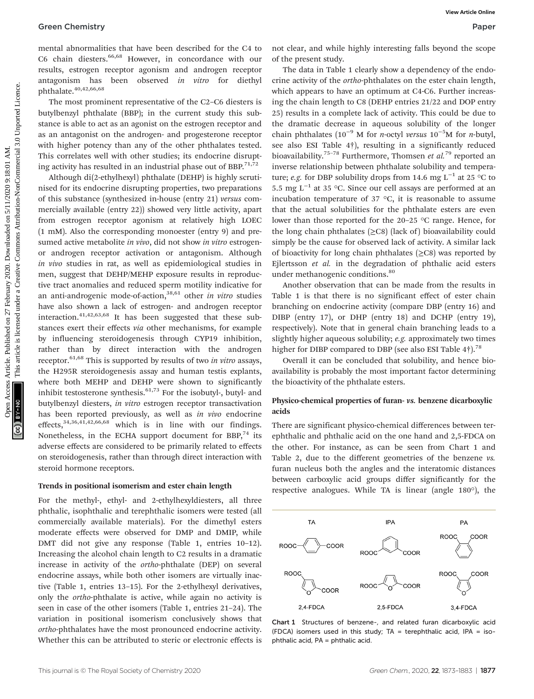mental abnormalities that have been described for the C4 to C6 chain diesters.<sup>66,68</sup> However, in concordance with our results, estrogen receptor agonism and androgen receptor antagonism has been observed in vitro for diethyl phthalate.40,42,66,68

The most prominent representative of the C2–C6 diesters is butylbenzyl phthalate (BBP); in the current study this substance is able to act as an agonist on the estrogen receptor and as an antagonist on the androgen- and progesterone receptor with higher potency than any of the other phthalates tested. This correlates well with other studies; its endocrine disrupting activity has resulted in an industrial phase out of BBP.<sup>71,72</sup>

Although di(2-ethylhexyl) phthalate (DEHP) is highly scrutinised for its endocrine disrupting properties, two preparations of this substance (synthesized in-house (entry 21) versus commercially available (entry 22)) showed very little activity, apart from estrogen receptor agonism at relatively high LOEC (1 mM). Also the corresponding monoester (entry 9) and presumed active metabolite in vivo, did not show in vitro estrogenor androgen receptor activation or antagonism. Although in vivo studies in rat, as well as epidemiological studies in men, suggest that DEHP/MEHP exposure results in reproductive tract anomalies and reduced sperm motility indicative for an anti-androgenic mode-of-action, $38,61$  other in vitro studies have also shown a lack of estrogen- and androgen receptor interaction. $41,42,63,68$  It has been suggested that these substances exert their effects via other mechanisms, for example by influencing steroidogenesis through CYP19 inhibition, rather than by direct interaction with the androgen receptor. $61,68$  This is supported by results of two in vitro assays, the H295R steroidogenesis assay and human testis explants, where both MEHP and DEHP were shown to significantly inhibit testosterone synthesis. $61,73$  For the isobutyl-, butyl- and butylbenzyl diesters, in vitro estrogen receptor transactivation has been reported previously, as well as in vivo endocrine effects, $34,36,41,42,66,68$  which is in line with our findings. Nonetheless, in the ECHA support document for BBP, $^{74}$  its adverse effects are considered to be primarily related to effects on steroidogenesis, rather than through direct interaction with steroid hormone receptors. Green Chemistry<br>
Of chan dissense.<sup>264</sup><sup>26</sup> However, in convorting with our of the present and  $\theta$  Hoursel on the experimentation of the present and the present of the present and  $\theta$  Hoursel on 5/11/2020 published on 5

#### Trends in positional isomerism and ester chain length

For the methyl-, ethyl- and 2-ethylhexyldiesters, all three phthalic, isophthalic and terephthalic isomers were tested (all commercially available materials). For the dimethyl esters moderate effects were observed for DMP and DMIP, while DMT did not give any response (Table 1, entries 10–12). Increasing the alcohol chain length to C2 results in a dramatic increase in activity of the ortho-phthalate (DEP) on several endocrine assays, while both other isomers are virtually inactive (Table 1, entries 13–15). For the 2-ethylhexyl derivatives, only the ortho-phthalate is active, while again no activity is seen in case of the other isomers (Table 1, entries 21–24). The variation in positional isomerism conclusively shows that ortho-phthalates have the most pronounced endocrine activity. Whether this can be attributed to steric or electronic effects is

not clear, and while highly interesting falls beyond the scope of the present study.

The data in Table 1 clearly show a dependency of the endocrine activity of the ortho-phthalates on the ester chain length, which appears to have an optimum at C4-C6. Further increasing the chain length to C8 (DEHP entries 21/22 and DOP entry 25) results in a complete lack of activity. This could be due to the dramatic decrease in aqueous solubility of the longer chain phthalates (10<sup>-9</sup> M for *n*-octyl versus 10<sup>-5</sup>M for *n*-butyl, see also ESI Table 4†), resulting in a significantly reduced bioavailability.<sup>75–78</sup> Furthermore, Thomsen et al.<sup>79</sup> reported an inverse relationship between phthalate solubility and temperature; *e.g.* for DBP solubility drops from 14.6 mg L<sup>-1</sup> at 25 °C to 5.5 mg L<sup>-1</sup> at 35 °C. Since our cell assays are performed at an incubation temperature of 37  $\,^{\circ}$ C, it is reasonable to assume that the actual solubilities for the phthalate esters are even lower than those reported for the 20–25 °C range. Hence, for the long chain phthalates  $(\geq C8)$  (lack of) bioavailability could simply be the cause for observed lack of activity. A similar lack of bioactivity for long chain phthalates  $(\geq C8)$  was reported by Ejlertsson et al. in the degradation of phthalic acid esters under methanogenic conditions.<sup>80</sup>

Another observation that can be made from the results in Table 1 is that there is no significant effect of ester chain branching on endocrine activity (compare DBP (entry 16) and DIBP (entry 17), or DHP (entry 18) and DCHP (entry 19), respectively). Note that in general chain branching leads to a slightly higher aqueous solubility; e.g. approximately two times higher for DIBP compared to DBP (see also ESI Table 4 $\dagger$ ).<sup>78</sup>

Overall it can be concluded that solubility, and hence bioavailability is probably the most important factor determining the bioactivity of the phthalate esters.

### Physico-chemical properties of furan- vs. benzene dicarboxylic acids

There are significant physico-chemical differences between terephthalic and phthalic acid on the one hand and 2,5-FDCA on the other. For instance, as can be seen from Chart 1 and Table 2, due to the different geometries of the benzene vs. furan nucleus both the angles and the interatomic distances between carboxylic acid groups differ significantly for the respective analogues. While TA is linear (angle 180°), the



Chart 1 Structures of benzene-, and related furan dicarboxylic acid (FDCA) isomers used in this study; TA = terephthalic acid, IPA = isophthalic acid, PA = phthalic acid.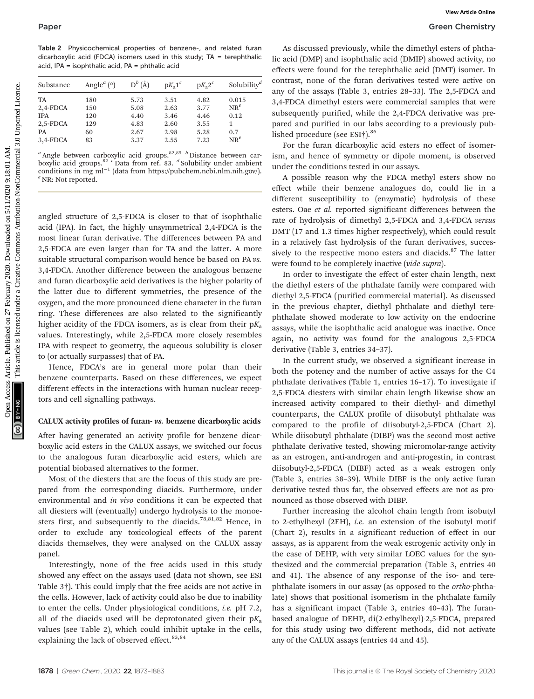Table 2 Physicochemical properties of benzene-, and related furan dicarboxylic acid (FDCA) isomers used in this study; TA = terephthalic acid, IPA = isophthalic acid, PA = phthalic acid

| Substance   | Angle <sup><math>a</math></sup> ( $\circ$ ) | $D^b(\AA)$ | $pK_{a}1^{c}$ | $pK_{a}2^{c}$ | Solubility <sup><i>d</i></sup> |
|-------------|---------------------------------------------|------------|---------------|---------------|--------------------------------|
| <b>TA</b>   | 180                                         | 5.73       | 3.51          | 4.82          | 0.015                          |
| $2,4$ -FDCA | 150                                         | 5.08       | 2.63          | 3.77          | $NR^e$                         |
| <b>TPA</b>  | 120                                         | 4.40       | 3.46          | 4.46          | 0.12                           |
| $2,5$ -FDCA | 129                                         | 4.83       | 2.60          | 3.55          | 1                              |
| <b>PA</b>   | 60                                          | 2.67       | 2.98          | 5.28          | 0.7                            |
| $3,4$ -FDCA | 83                                          | 3.37       | 2.55          | 7.23          | $NR^e$                         |
|             |                                             |            |               |               |                                |

<sup>a</sup> Angle between carboxylic acid groups.<sup>82,85</sup> <sup>b</sup> Distance between carboxylic acid groups.<sup>82</sup>  $c$  Data from ref. 83. <sup>d</sup> Solubility under ambient conditions in mg ml<sup>−1</sup> (data from https://pubchem.ncbi.nlm.nih.gov/). <sup>e</sup> NR: Not reported.

angled structure of 2,5-FDCA is closer to that of isophthalic acid (IPA). In fact, the highly unsymmetrical 2,4-FDCA is the most linear furan derivative. The differences between PA and 2,5-FDCA are even larger than for TA and the latter. A more suitable structural comparison would hence be based on PA vs. 3,4-FDCA. Another difference between the analogous benzene and furan dicarboxylic acid derivatives is the higher polarity of the latter due to different symmetries, the presence of the oxygen, and the more pronounced diene character in the furan ring. These differences are also related to the significantly higher acidity of the FDCA isomers, as is clear from their  $pK_a$ values. Interestingly, while 2,5-FDCA more closely resembles IPA with respect to geometry, the aqueous solubility is closer to (or actually surpasses) that of PA. Paper Weightstehe of a strengthene with each one of the main strengthene and the strengthene and the strengthene and the strengthene and the strengthene and the strengthene and the strengthene and the strengthene and the

Hence, FDCA's are in general more polar than their benzene counterparts. Based on these differences, we expect different effects in the interactions with human nuclear receptors and cell signalling pathways.

#### CALUX activity profiles of furan- vs. benzene dicarboxylic acids

After having generated an activity profile for benzene dicarboxylic acid esters in the CALUX assays, we switched our focus to the analogous furan dicarboxylic acid esters, which are potential biobased alternatives to the former.

Most of the diesters that are the focus of this study are prepared from the corresponding diacids. Furthermore, under environmental and *in vivo* conditions it can be expected that all diesters will (eventually) undergo hydrolysis to the monoesters first, and subsequently to the diacids.<sup>78,81,82</sup> Hence, in order to exclude any toxicological effects of the parent diacids themselves, they were analysed on the CALUX assay panel.

Interestingly, none of the free acids used in this study showed any effect on the assays used (data not shown, see ESI Table 3†). This could imply that the free acids are not active in the cells. However, lack of activity could also be due to inability to enter the cells. Under physiological conditions, i.e. pH 7.2, all of the diacids used will be deprotonated given their  $pK_a$ values (see Table 2), which could inhibit uptake in the cells, explaining the lack of observed effect.<sup>83,84</sup>

As discussed previously, while the dimethyl esters of phthalic acid (DMP) and isophthalic acid (DMIP) showed activity, no effects were found for the terephthalic acid (DMT) isomer. In contrast, none of the furan derivatives tested were active on any of the assays (Table 3, entries 28–33). The 2,5-FDCA and 3,4-FDCA dimethyl esters were commercial samples that were subsequently purified, while the 2,4-FDCA derivative was prepared and purified in our labs according to a previously published procedure (see ESI†).<sup>86</sup>

For the furan dicarboxylic acid esters no effect of isomerism, and hence of symmetry or dipole moment, is observed under the conditions tested in our assays.

A possible reason why the FDCA methyl esters show no effect while their benzene analogues do, could lie in a different susceptibility to (enzymatic) hydrolysis of these esters. Oae et al. reported significant differences between the rate of hydrolysis of dimethyl 2,5-FDCA and 3,4-FDCA versus DMT (17 and 1.3 times higher respectively), which could result in a relatively fast hydrolysis of the furan derivatives, successively to the respective mono esters and diacids. $87$  The latter were found to be completely inactive (vide supra).

In order to investigate the effect of ester chain length, next the diethyl esters of the phthalate family were compared with diethyl 2,5-FDCA (purified commercial material). As discussed in the previous chapter, diethyl phthalate and diethyl terephthalate showed moderate to low activity on the endocrine assays, while the isophthalic acid analogue was inactive. Once again, no activity was found for the analogous 2,5-FDCA derivative (Table 3, entries 34–37).

In the current study, we observed a significant increase in both the potency and the number of active assays for the C4 phthalate derivatives (Table 1, entries 16–17). To investigate if 2,5-FDCA diesters with similar chain length likewise show an increased activity compared to their diethyl- and dimethyl counterparts, the CALUX profile of diisobutyl phthalate was compared to the profile of diisobutyl-2,5-FDCA (Chart 2). While diisobutyl phthalate (DIBP) was the second most active phthalate derivative tested, showing micromolar-range activity as an estrogen, anti-androgen and anti-progestin, in contrast diisobutyl-2,5-FDCA (DIBF) acted as a weak estrogen only (Table 3, entries 38–39). While DIBF is the only active furan derivative tested thus far, the observed effects are not as pronounced as those observed with DIBP.

Further increasing the alcohol chain length from isobutyl to 2-ethylhexyl (2EH), i.e. an extension of the isobutyl motif (Chart 2), results in a significant reduction of effect in our assays, as is apparent from the weak estrogenic activity only in the case of DEHP, with very similar LOEC values for the synthesized and the commercial preparation (Table 3, entries 40 and 41). The absence of any response of the iso- and terephthalate isomers in our assay (as opposed to the ortho-phthalate) shows that positional isomerism in the phthalate family has a significant impact (Table 3, entries 40-43). The furanbased analogue of DEHP, di(2-ethylhexyl)-2,5-FDCA, prepared for this study using two different methods, did not activate any of the CALUX assays (entries 44 and 45).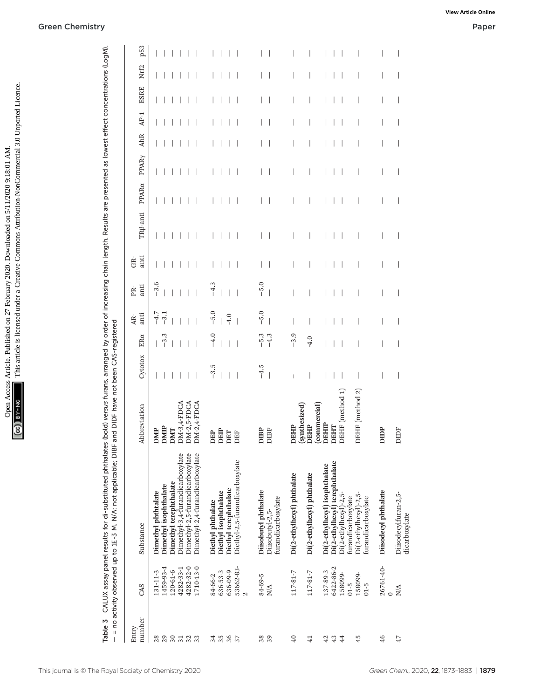| CAS                                                                      | Substance                                                                                                                                                                       | Abbreviation                                                                  | Cytotox | $ER\alpha$       | anti<br>AR-      | anti<br>ΡŔ        | anti<br>Ġ.   | TRß-anti | PPARα  | PPARy | <b>AhR</b>   | $AP-1$                       | <b>ESRE</b> | p53<br>Nrf2 |
|--------------------------------------------------------------------------|---------------------------------------------------------------------------------------------------------------------------------------------------------------------------------|-------------------------------------------------------------------------------|---------|------------------|------------------|-------------------|--------------|----------|--------|-------|--------------|------------------------------|-------------|-------------|
| 4282-32-0<br>1710-13-0<br>1459-93-4<br>4282-33-1<br>120-61-6<br>131-11-3 | Dimethyl-2,5-furandicarboxylate<br>Dimethyl-2,4-furandicarboxylate<br>Dimethyl-3,4-furandicarboxylate<br>Dimethyl terephthalate<br>Dimethyl isophthalate<br>Dimethyl phthtalate | DM-3,4-FDCA<br>DM-2,5-FDCA<br>DM-2,4-FDCA<br><b>DMIP</b><br>DMT<br><b>DMP</b> |         | $-3.3$           | $-4.7$<br>$-3.1$ | $-3.6$            |              |          | $\Box$ |       |              |                              |             |             |
| 53662-83-<br>636-53-3<br>636-09-9<br>84-66-2<br>$\sim$                   | Diethyl terephthalate<br>Diethyl-2,5-furandicarboxylate<br>Diethyl phthalate<br>Diethyl isophthalate                                                                            | DEIP<br>DEP<br>DET<br>DEF                                                     | $-3.5$  | $-4.0$           | $-5.0$<br>$-4.0$ | $-4.3$<br>$\perp$ |              |          |        |       |              |                              |             |             |
| 84-69-5<br>${\rm N/A}$                                                   | Diisobutyl phthalate<br>furandicarboxylate<br>Diisobutyl-2,5-                                                                                                                   | DIBF<br>DIBP                                                                  | $-4.5$  | $-5.3$<br>$-4.3$ | $-5.0$           | $-5.0$            | $\mathbf{L}$ | $\Box$   | $\Box$ |       | $\mathbf{L}$ | $\mathbf{L}$<br>$\mathbf{L}$ |             |             |
| 117-81-7                                                                 | Di(2-ethylhexyl) phthalate                                                                                                                                                      | (synthesized)<br>DEHP                                                         |         | $-3.9$           |                  |                   |              |          |        |       |              |                              |             |             |
| 137-89-3<br>117-81-7                                                     | Di(2-ethylhexyl) isophthalate<br>Di(2-ethylhexyl) phthalate                                                                                                                     | (commercial)<br>DEHIP<br>DEHP                                                 |         | $-4.0$           |                  |                   |              |          |        |       |              |                              |             |             |
| 6422-86-2<br>158099-<br>$01 - 5$                                         | Di(2-ethylhexyl) terephthalate<br>Di(2-ethylhexyl)-2,5-<br>furandicarboxylate                                                                                                   | DEHF (method 1)<br>DEHT                                                       |         |                  |                  |                   |              |          |        |       |              |                              |             |             |
| 158099-<br>$01 - 5$                                                      | Di(2-ethylhexyl)-2,5-<br>furandicarboxylate                                                                                                                                     | DEHF (method 2)                                                               |         |                  |                  |                   |              |          |        |       |              |                              |             |             |
| 26761-40-                                                                | Diisodecyl phthalate                                                                                                                                                            | DIDP                                                                          |         |                  |                  |                   |              |          |        |       |              |                              |             |             |
| $\mathbf{N}/\mathbf{A}$<br>$\circ$                                       | Diisodecylfuran-2,5-<br>dicarboxylate                                                                                                                                           | DIDF                                                                          |         |                  |                  |                   |              |          |        |       |              |                              |             |             |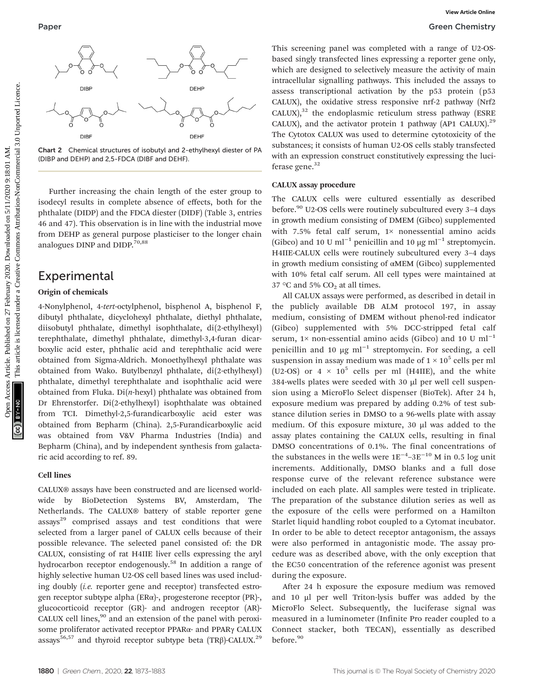

Chart 2 Chemical structures of isobutyl and 2-ethylhexyl diester of PA (DIBP and DEHP) and 2,5-FDCA (DIBF and DEHF).

Further increasing the chain length of the ester group to isodecyl results in complete absence of effects, both for the phthalate (DIDP) and the FDCA diester (DIDF) (Table 3, entries 46 and 47). This observation is in line with the industrial move from DEHP as general purpose plasticiser to the longer chain analogues DINP and DIDP.<sup>70,88</sup>

## Experimental

### Origin of chemicals

4-Nonylphenol, 4-tert-octylphenol, bisphenol A, bisphenol F, dibutyl phthalate, dicyclohexyl phthalate, diethyl phthalate, diisobutyl phthalate, dimethyl isophthalate, di(2-ethylhexyl) terephthalate, dimethyl phthalate, dimethyl-3,4-furan dicarboxylic acid ester, phthalic acid and terephthalic acid were obtained from Sigma-Aldrich. Monoethylhexyl phthalate was obtained from Wako. Butylbenzyl phthalate, di(2-ethylhexyl) phthalate, dimethyl terephthalate and isophthalic acid were obtained from Fluka.  $Di(n$ -hexyl) phthalate was obtained from Dr Ehrenstorfer. Di(2-ethylhexyl) isophthalate was obtained from TCI. Dimethyl-2,5-furandicarboxylic acid ester was obtained from Bepharm (China). 2,5-Furandicarboxylic acid was obtained from V&V Pharma Industries (India) and Bepharm (China), and by independent synthesis from galactaric acid according to ref. 89.

#### Cell lines

CALUX® assays have been constructed and are licensed worldwide by BioDetection Systems BV, Amsterdam, The Netherlands. The CALUX® battery of stable reporter gene  $assays<sup>29</sup>$  comprised assays and test conditions that were selected from a larger panel of CALUX cells because of their possible relevance. The selected panel consisted of: the DR CALUX, consisting of rat H4IIE liver cells expressing the aryl hydrocarbon receptor endogenously.<sup>58</sup> In addition a range of highly selective human U2-OS cell based lines was used including doubly (i.e. reporter gene and receptor) transfected estrogen receptor subtype alpha (ERα)-, progesterone receptor (PR)-, glucocorticoid receptor (GR)- and androgen receptor (AR)- CALUX cell lines, $90$  and an extension of the panel with peroxisome proliferator activated receptor PPARα- and PPARγ CALUX assays<sup>56,57</sup> and thyroid receptor subtype beta (TRβ)-CALUX.<sup>29</sup>

This screening panel was completed with a range of U2-OSbased singly transfected lines expressing a reporter gene only, which are designed to selectively measure the activity of main intracellular signalling pathways. This included the assays to assess transcriptional activation by the p53 protein (p53 CALUX), the oxidative stress responsive nrf-2 pathway (Nrf2  $CALUX)$ ,<sup>32</sup> the endoplasmic reticulum stress pathway (ESRE CALUX), and the activator protein 1 pathway (AP1 CALUX).<sup>29</sup> The Cytotox CALUX was used to determine cytotoxicity of the substances; it consists of human U2-OS cells stably transfected with an expression construct constitutively expressing the luciferase gene. $32$ **Paper**<br> **Open Access Article 2020.** This article gradient was completed to the article spin article commonstrate that commonstrate the spin article is a representation-<br> **OPEN ACCESS ARTICLE ARTICLE ARTICLE ARTICLE ARTIC** 

#### CALUX assay procedure

The CALUX cells were cultured essentially as described before.<sup>90</sup> U2-OS cells were routinely subcultured every 3-4 days in growth medium consisting of DMEM (Gibco) supplemented with 7.5% fetal calf serum, 1× nonessential amino acids (Gibco) and 10 U ml<sup>-1</sup> penicillin and 10 µg ml<sup>-1</sup> streptomycin. H4IIE-CALUX cells were routinely subcultured every 3–4 days in growth medium consisting of αMEM (Gibco) supplemented with 10% fetal calf serum. All cell types were maintained at 37 °C and 5%  $CO<sub>2</sub>$  at all times.

All CALUX assays were performed, as described in detail in the publicly available DB ALM protocol 197, in assay medium, consisting of DMEM without phenol-red indicator (Gibco) supplemented with 5% DCC-stripped fetal calf serum, 1× non-essential amino acids (Gibco) and 10 U ml<sup>-1</sup> penicillin and 10  $\mu$ g ml<sup>-1</sup> streptomycin. For seeding, a cell suspension in assay medium was made of  $1 \times 10^5$  cells per ml (U2-OS) or  $4 \times 10^5$  cells per ml (H4IIE), and the white 384-wells plates were seeded with 30 µl per well cell suspension using a MicroFlo Select dispenser (BioTek). After 24 h, exposure medium was prepared by adding 0.2% of test substance dilution series in DMSO to a 96-wells plate with assay medium. Of this exposure mixture, 30 µl was added to the assay plates containing the CALUX cells, resulting in final DMSO concentrations of 0.1%. The final concentrations of the substances in the wells were  $1E^{-4}-3E^{-10}$  M in 0.5 log unit increments. Additionally, DMSO blanks and a full dose response curve of the relevant reference substance were included on each plate. All samples were tested in triplicate. The preparation of the substance dilution series as well as the exposure of the cells were performed on a Hamilton Starlet liquid handling robot coupled to a Cytomat incubator. In order to be able to detect receptor antagonism, the assays were also performed in antagonistic mode. The assay procedure was as described above, with the only exception that the EC50 concentration of the reference agonist was present during the exposure.

After 24 h exposure the exposure medium was removed and 10 µl per well Triton-lysis buffer was added by the MicroFlo Select. Subsequently, the luciferase signal was measured in a luminometer (Infinite Pro reader coupled to a Connect stacker, both TECAN), essentially as described before.<sup>90</sup>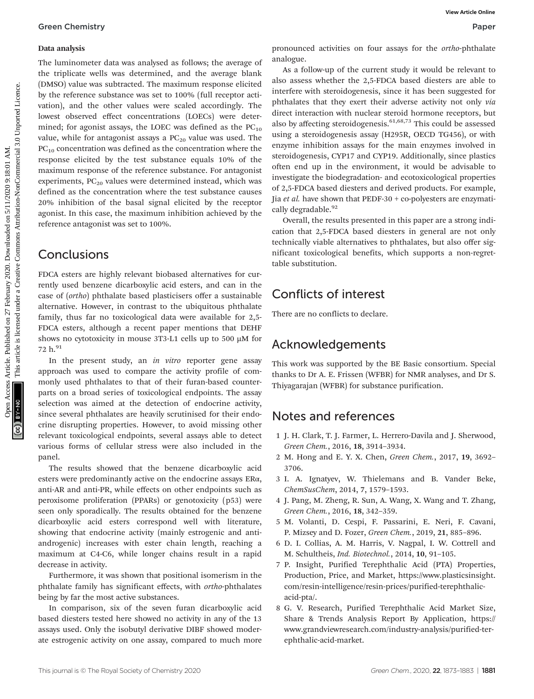### Green Chemistry Paper

#### Data analysis

The luminometer data was analysed as follows; the average of the triplicate wells was determined, and the average blank (DMSO) value was subtracted. The maximum response elicited by the reference substance was set to 100% (full receptor activation), and the other values were scaled accordingly. The lowest observed effect concentrations (LOECs) were determined; for agonist assays, the LOEC was defined as the  $PC_{10}$ value, while for antagonist assays a  $PC_{20}$  value was used. The  $PC_{10}$  concentration was defined as the concentration where the response elicited by the test substance equals 10% of the maximum response of the reference substance. For antagonist experiments,  $PC_{20}$  values were determined instead, which was defined as the concentration where the test substance causes 20% inhibition of the basal signal elicited by the receptor agonist. In this case, the maximum inhibition achieved by the reference antagonist was set to 100%. Green Chemistry<br>
Open Licence are analysed as follows; the average of analysie. Hereaft the convention of the common and<br>
the Licence are also as determined, and the average blank<br>
(DVMS) vulce was attenued by the referenc

## Conclusions

FDCA esters are highly relevant biobased alternatives for currently used benzene dicarboxylic acid esters, and can in the case of (ortho) phthalate based plasticisers offer a sustainable alternative. However, in contrast to the ubiquitous phthalate family, thus far no toxicological data were available for 2,5- FDCA esters, although a recent paper mentions that DEHF shows no cytotoxicity in mouse 3T3-L1 cells up to 500  $\mu$ M for  $72 h.<sup>91</sup>$ 

In the present study, an *in vitro* reporter gene assay approach was used to compare the activity profile of commonly used phthalates to that of their furan-based counterparts on a broad series of toxicological endpoints. The assay selection was aimed at the detection of endocrine activity, since several phthalates are heavily scrutinised for their endocrine disrupting properties. However, to avoid missing other relevant toxicological endpoints, several assays able to detect various forms of cellular stress were also included in the panel.

The results showed that the benzene dicarboxylic acid esters were predominantly active on the endocrine assays ERα, anti-AR and anti-PR, while effects on other endpoints such as peroxisome proliferation (PPARs) or genotoxicity (p53) were seen only sporadically. The results obtained for the benzene dicarboxylic acid esters correspond well with literature, showing that endocrine activity (mainly estrogenic and antiandrogenic) increases with ester chain length, reaching a maximum at C4-C6, while longer chains result in a rapid decrease in activity.

Furthermore, it was shown that positional isomerism in the phthalate family has significant effects, with ortho-phthalates being by far the most active substances.

In comparison, six of the seven furan dicarboxylic acid based diesters tested here showed no activity in any of the 13 assays used. Only the isobutyl derivative DIBF showed moderate estrogenic activity on one assay, compared to much more

pronounced activities on four assays for the ortho-phthalate analogue.

As a follow-up of the current study it would be relevant to also assess whether the 2,5-FDCA based diesters are able to interfere with steroidogenesis, since it has been suggested for phthalates that they exert their adverse activity not only via direct interaction with nuclear steroid hormone receptors, but also by affecting steroidogenesis. $61,68,73$  This could be assessed using a steroidogenesis assay (H295R, OECD TG456), or with enzyme inhibition assays for the main enzymes involved in steroidogenesis, CYP17 and CYP19. Additionally, since plastics often end up in the environment, it would be advisable to investigate the biodegradation- and ecotoxicological properties of 2,5-FDCA based diesters and derived products. For example, Jia et al. have shown that PEDF-30 + co-polyesters are enzymatically degradable.<sup>92</sup>

Overall, the results presented in this paper are a strong indication that 2,5-FDCA based diesters in general are not only technically viable alternatives to phthalates, but also offer significant toxicological benefits, which supports a non-regrettable substitution.

## Conflicts of interest

There are no conflicts to declare.

## Acknowledgements

This work was supported by the BE Basic consortium. Special thanks to Dr A. E. Frissen (WFBR) for NMR analyses, and Dr S. Thiyagarajan (WFBR) for substance purification.

## Notes and references

- 1 J. H. Clark, T. J. Farmer, L. Herrero-Davila and J. Sherwood, Green Chem., 2016, 18, 3914–3934.
- 2 M. Hong and E. Y. X. Chen, Green Chem., 2017, 19, 3692– 3706.
- 3 I. A. Ignatyev, W. Thielemans and B. Vander Beke, ChemSusChem, 2014, 7, 1579–1593.
- 4 J. Pang, M. Zheng, R. Sun, A. Wang, X. Wang and T. Zhang, Green Chem., 2016, 18, 342–359.
- 5 M. Volanti, D. Cespi, F. Passarini, E. Neri, F. Cavani, P. Mizsey and D. Fozer, Green Chem., 2019, 21, 885–896.
- 6 D. I. Collias, A. M. Harris, V. Nagpal, I. W. Cottrell and M. Schultheis, Ind. Biotechnol., 2014, 10, 91–105.
- 7 P. Insight, Purified Terephthalic Acid (PTA) Properties, Production, Price, and Market, https://www.plasticsinsight. com/resin-intelligence/resin-prices/purified-terephthalicacid-pta/.
- 8 G. V. Research, Purified Terephthalic Acid Market Size, Share & Trends Analysis Report By Application, https:// www.grandviewresearch.com/industry-analysis/purified-terephthalic-acid-market.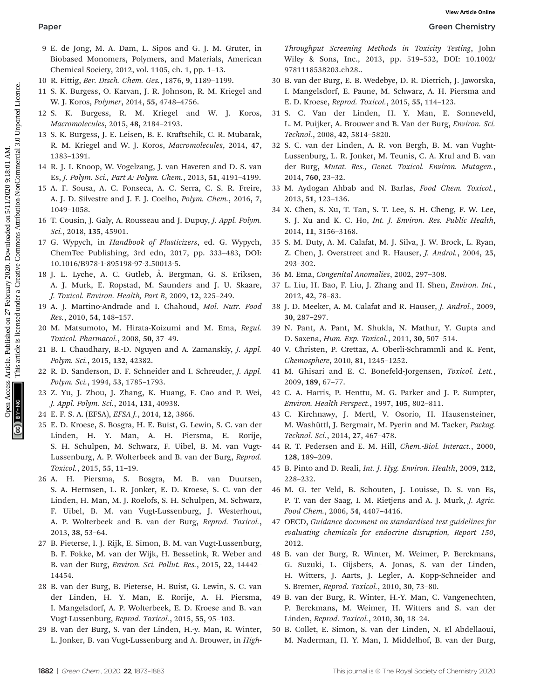- 9 E. de Jong, M. A. Dam, L. Sipos and G. J. M. Gruter, in Biobased Monomers, Polymers, and Materials, American Chemical Society, 2012, vol. 1105, ch. 1, pp. 1–13.
- 10 R. Fittig, Ber. Dtsch. Chem. Ges., 1876, 9, 1189–1199.
- 11 S. K. Burgess, O. Karvan, J. R. Johnson, R. M. Kriegel and W. J. Koros, Polymer, 2014, 55, 4748–4756.
- 12 S. K. Burgess, R. M. Kriegel and W. J. Koros, Macromolecules, 2015, 48, 2184–2193.
- 13 S. K. Burgess, J. E. Leisen, B. E. Kraftschik, C. R. Mubarak, R. M. Kriegel and W. J. Koros, Macromolecules, 2014, 47, 1383–1391.
- 14 R. J. I. Knoop, W. Vogelzang, J. van Haveren and D. S. van Es, J. Polym. Sci., Part A: Polym. Chem., 2013, 51, 4191–4199.
- 15 A. F. Sousa, A. C. Fonseca, A. C. Serra, C. S. R. Freire, A. J. D. Silvestre and J. F. J. Coelho, Polym. Chem., 2016, 7, 1049–1058.
- 16 T. Cousin, J. Galy, A. Rousseau and J. Dupuy, J. Appl. Polym. Sci., 2018, 135, 45901.
- 17 G. Wypych, in Handbook of Plasticizers, ed. G. Wypych, ChemTec Publishing, 3rd edn, 2017, pp. 333–483, DOI: 10.1016/B978-1-895198-97-3.50013-5.
- 18 J. L. Lyche, A. C. Gutleb, Å. Bergman, G. S. Eriksen, A. J. Murk, E. Ropstad, M. Saunders and J. U. Skaare, J. Toxicol. Environ. Health, Part B, 2009, 12, 225–249.
- 19 A. J. Martino-Andrade and I. Chahoud, Mol. Nutr. Food Res., 2010, 54, 148–157.
- 20 M. Matsumoto, M. Hirata-Koizumi and M. Ema, Regul. Toxicol. Pharmacol., 2008, 50, 37–49.
- 21 B. I. Chaudhary, B.-D. Nguyen and A. Zamanskiy, J. Appl. Polym. Sci., 2015, 132, 42382.
- 22 R. D. Sanderson, D. F. Schneider and I. Schreuder, J. Appl. Polym. Sci., 1994, 53, 1785–1793.
- 23 Z. Yu, J. Zhou, J. Zhang, K. Huang, F. Cao and P. Wei, J. Appl. Polym. Sci., 2014, 131, 40938.
- 24 E. F. S. A. (EFSA), EFSA J., 2014, 12, 3866.
- 25 E. D. Kroese, S. Bosgra, H. E. Buist, G. Lewin, S. C. van der Linden, H. Y. Man, A. H. Piersma, E. Rorije, S. H. Schulpen, M. Schwarz, F. Uibel, B. M. van Vugt-Lussenburg, A. P. Wolterbeek and B. van der Burg, Reprod. Toxicol., 2015, 55, 11–19.
- 26 A. H. Piersma, S. Bosgra, M. B. van Duursen, S. A. Hermsen, L. R. Jonker, E. D. Kroese, S. C. van der Linden, H. Man, M. J. Roelofs, S. H. Schulpen, M. Schwarz, F. Uibel, B. M. van Vugt-Lussenburg, J. Westerhout, A. P. Wolterbeek and B. van der Burg, Reprod. Toxicol., 2013, 38, 53–64.
- 27 B. Pieterse, I. J. Rijk, E. Simon, B. M. van Vugt-Lussenburg, B. F. Fokke, M. van der Wijk, H. Besselink, R. Weber and B. van der Burg, Environ. Sci. Pollut. Res., 2015, 22, 14442– 14454.
- 28 B. van der Burg, B. Pieterse, H. Buist, G. Lewin, S. C. van der Linden, H. Y. Man, E. Rorije, A. H. Piersma, I. Mangelsdorf, A. P. Wolterbeek, E. D. Kroese and B. van Vugt-Lussenburg, Reprod. Toxicol., 2015, 55, 95–103.
- 29 B. van der Burg, S. van der Linden, H.-y. Man, R. Winter, L. Jonker, B. van Vugt-Lussenburg and A. Brouwer, in High-

Throughput Screening Methods in Toxicity Testing, John Wiley & Sons, Inc., 2013, pp. 519–532, DOI: 10.1002/ 9781118538203.ch28..

- 30 B. van der Burg, E. B. Wedebye, D. R. Dietrich, J. Jaworska, I. Mangelsdorf, E. Paune, M. Schwarz, A. H. Piersma and E. D. Kroese, Reprod. Toxicol., 2015, 55, 114–123.
- 31 S. C. Van der Linden, H. Y. Man, E. Sonneveld, L. M. Puijker, A. Brouwer and B. Van der Burg, Environ. Sci. Technol., 2008, 42, 5814–5820.
- 32 S. C. van der Linden, A. R. von Bergh, B. M. van Vught-Lussenburg, L. R. Jonker, M. Teunis, C. A. Krul and B. van der Burg, Mutat. Res., Genet. Toxicol. Environ. Mutagen., 2014, 760, 23–32. **Paper**<br>
9 L. de jong, Sh. A. Dum, L. Sipos and G. J. Sh. Uruter, in Theorem Access Articles. Articles. Articles. Articles. Article. Downloaded Non-Licensed Attribution-Non-Licensed United United United United United Unite
	- 33 M. Aydogan Ahbab and N. Barlas, Food Chem. Toxicol., 2013, 51, 123–136.
	- 34 X. Chen, S. Xu, T. Tan, S. T. Lee, S. H. Cheng, F. W. Lee, S. J. Xu and K. C. Ho, Int. J. Environ. Res. Public Health, 2014, 11, 3156–3168.
	- 35 S. M. Duty, A. M. Calafat, M. J. Silva, J. W. Brock, L. Ryan, Z. Chen, J. Overstreet and R. Hauser, J. Androl., 2004, 25, 293–302.
	- 36 M. Ema, Congenital Anomalies, 2002, 297–308.
	- 37 L. Liu, H. Bao, F. Liu, J. Zhang and H. Shen, Environ. Int., 2012, 42, 78–83.
	- 38 J. D. Meeker, A. M. Calafat and R. Hauser, J. Androl., 2009, 30, 287–297.
	- 39 N. Pant, A. Pant, M. Shukla, N. Mathur, Y. Gupta and D. Saxena, Hum. Exp. Toxicol., 2011, 30, 507–514.
	- 40 V. Christen, P. Crettaz, A. Oberli-Schrammli and K. Fent, Chemosphere, 2010, 81, 1245–1252.
	- 41 M. Ghisari and E. C. Bonefeld-Jorgensen, Toxicol. Lett., 2009, 189, 67–77.
	- 42 C. A. Harris, P. Henttu, M. G. Parker and J. P. Sumpter, Environ. Health Perspect., 1997, 105, 802–811.
	- 43 C. Kirchnawy, J. Mertl, V. Osorio, H. Hausensteiner, M. Washüttl, J. Bergmair, M. Pyerin and M. Tacker, Packag. Technol. Sci., 2014, 27, 467–478.
	- 44 R. T. Pedersen and E. M. Hill, Chem.-Biol. Interact., 2000, 128, 189–209.
	- 45 B. Pinto and D. Reali, Int. J. Hyg. Environ. Health, 2009, 212, 228–232.
	- 46 M. G. ter Veld, B. Schouten, J. Louisse, D. S. van Es, P. T. van der Saag, I. M. Rietjens and A. J. Murk, J. Agric. Food Chem., 2006, 54, 4407–4416.
	- 47 OECD, Guidance document on standardised test guidelines for evaluating chemicals for endocrine disruption, Report 150, 2012.
	- 48 B. van der Burg, R. Winter, M. Weimer, P. Berckmans, G. Suzuki, L. Gijsbers, A. Jonas, S. van der Linden, H. Witters, J. Aarts, J. Legler, A. Kopp-Schneider and S. Bremer, Reprod. Toxicol., 2010, 30, 73–80.
	- 49 B. van der Burg, R. Winter, H.-Y. Man, C. Vangenechten, P. Berckmans, M. Weimer, H. Witters and S. van der Linden, Reprod. Toxicol., 2010, 30, 18–24.
	- 50 B. Collet, E. Simon, S. van der Linden, N. El Abdellaoui, M. Naderman, H. Y. Man, I. Middelhof, B. van der Burg,